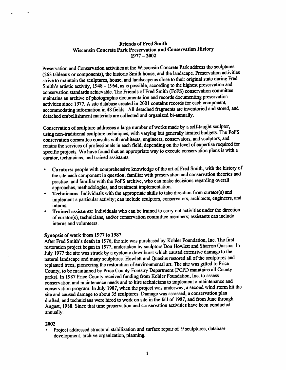# Friends of Fred Smith Wisconsin Concrete Park Preservation and Conservation History  $1977 - 2002$

Preservation and Conservation activities at the Wisconsin Concrete Park address the sculptwes (263 tableaux or components), the historic Smith house, and the landscape. Preservation activities strive to maintain the sculptures, house, and landscape as close to their original state during Fred Smith's artistic activity, 1948 - 1964, as is possible, according to the highest preservation and conservation standards achievable. The Friends of Fred Smith (FoFS) conservation comnuttee maintains an archive of photographic documentation and records documenting preservation activities since 1977. A site database created in 2001 contains records for each component, accommodating information in 48 fields. All detached fragments are inventoried and stored, and detached embellishment materials are collected and organized bi-annually.

Conservation of sculpture addresses a large number of works made by a self-taught sculptor, using non-traditional sculpture techniques, with varying but generally limited budgets. The FoFS conservation committee consults with architects, engineers, conservators, and sculptors, and retains the services of professionals in each field, depending on the level of expertise required for specific projects. We have found that an appropriate way to execute conservation plans is with a curator, technicians, and trained assistants.

- Curators: people with comprehensive knowledge of the art of Fred Smith, with the history of the site each component in question; familiar with preservation and conservation theories and practice; and familiar with the FoFS archive, who can make decisions regarding overal
- Technicians: Individuals with the appropriate skills to take direction from curator(s) and implement a particular activity; can include sculptors, conservators, architects, engineers, and interns.
- Trained assistants: Individuals who can be trained to carry out activities under the direction of curator(s), technicians, and/or conservation committee members; assistants can include interns and volimteers.

### Synopsis of work from 1977 to 1987

After Fred Smith's death in 1976, the site was purchased by Kohler Foundation, Inc. The first restoration project began in 1977, undertaken by sculptors Don Howlett and Sharron Quasius. In July 1977 the site was struck by a cyclonic downburst which caused extensive damage to the natural landscape and many sculptures. Howlett and Quasius restored all of the sculptures and replanted trees, pioneering the restoration of environmental art. The site was gifted to Price County, to be maintained by Price County Forestry Department (PCFD maintains all County parks). In 1987 Price County received fimding from Kohler Foundation, Inc. to assess conservation and maintenance needs and to hire technicians to implement a maintenance and conservation program. In July 1987, when the project was underway, a second wind storm hit the site and caused damage to about 35 sculptures. Damage was assessed, a conservation plan drafted, and technicians were hired to work on site in the fall of 1987, and from June through August, 1988, Since that time preservation and conservation activities have been conducted annually.

### 2002

• Project addressed structural stabilization and surface repair of 9 sculptures, database development, archive organization, planning.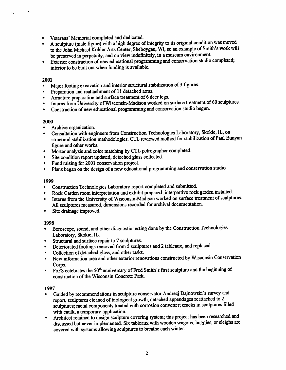- Veterans' Memorial completed and dedicated.
- A sculpture (male figure) with a high degree of integrity to its original condition was moved to the John Michael Kohler Arts Center, Sheboygan, WI, so an example of Smith's work will be preserved in perpetuity, and on view indefinitely, in a museum environment.
- Exterior construction of new educational programming and conservation studio completed; interior to be built out when funding is available.

### 2001

- Major footing excavation and interior structural stabilization of 3 figures.
- Preparation and reattachment of 11 detached arms.
- Armature preparation and surface treatment of 6 deer legs.
- Interns from University of Wisconsin-Madison worked on surface treatment of 60 sculptures.
- Construction of new educational programming and conservation studio begim.

# 2000

- Archive organization.
- Consultation with engineers from Construction Technologies Laboratory, Skokie, IL, on structural stabilization methodologies. CTL reviewed method for stabilization of Paul Bunyan<br>figure and other works.
- Mortar analysis and color matching by CTL petrographer completed.
- Site condition report updated, detached glass collected.
- Fund raising for 2001 conservation project.
- Plans began on the design of a new educational programming and conservation studio.

# 1999

- Construction Technologies Laboratory report completed and submitted.
- Rock Garden room interpretation and exhibit prepared; interpretive rock garden installed.
- Interns from the University of Wisconsin-Madison worked on surface treatment of sculptures. All sculptures measured, dimensions recorded for archival documentation. • Site drainage improved.
- 

# 1998

- Horoscope, sound, and other diagnostic testing done by the Construction Technologies
- Laboratory, Skokie, IL.<br>Structural and surface repair to 7 sculptures.
- Deteriorated footings removed from 5 sculptures and 2 tableaux, and replaced.
- Collection of detached glass, and other tasks.
- New information area and other exterior renovations constructed by Wisconsin Conservation
- Corps.<br>FoFS celebrates the 50<sup>th</sup> anniversary of Fred Smith's first sculpture and the beginning of construction of the Wisconsin Concrete Park.

# 1997

- Guided by recommendations in sculpture conservator Andrezj Dajnowski's survey and report, sculptures cleaned of biological growth, detached appendages reattached to 2 sculptures; metal components treated with corrosion converter; cracks in sculptures filled
- Architect retained to design sculpture covering system; this project has been researched and discussed but never implemented. Six tableaux with wooden wagons, buggies, or sleighs are covered with systems allowing sculptures to breathe each winter.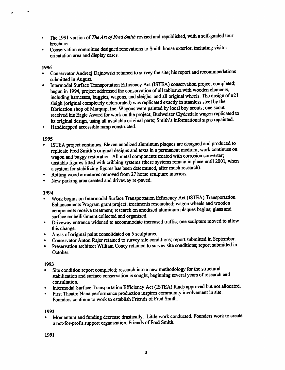- The 1991 version of The Art of Fred Smith revised and republished, with a self-guided tour brochure.
- Conservation committee designed renovations to Smith house exterior, including visitor orientation area and display cases.

# 1996

è.

- Conservator Andrezj Dajnowski retained to survey the site; his report and recommendations
- submitted in August.<br>Intermodal Surface Transportation Efficiency Act (ISTEA) conservation project completed; begun in 1994, project addressed the conservation of all tableaux with wooden elements, including harnesses, buggies, wagons, and sleighs, and all original wheels. The design of #21 sleigh (original completely deteriorated) was replicated exactly in stainless steel by the fabrication shop of Marquip, Inc. Wagons were pamted by local boy scouts; one scout received his Eagle Award for work on the project; Budweiser Clydesdale wagon replicated to its original design, using all available original parts; Smith's informational signs repainted. • Handicapped accessible ramp constructed.
- 

- 1995<br>• ISTEA project continues. Eleven anodized aluminum plaques are designed and produced to replicate Fred Smith's original designs and texts in a permanent medium; work continues on wagon and buggy restoration. All metal components treated with corrosion converter; wagon and buggy restoration. All metal components treated with corrosion converter;<br>(descending place until 200 unstable figures fitted with cribbing systems (these systems remain in place until 2001, when a system for stabilizing figures has been determined, after much research).<br>Rotting wood armatures removed from 27 horse sculpture interiors.
- 
- New parking area created and driveway re-paved.

# 1994

- Work begins on Intermodal Surface Transportation Efficiency Act (ISTEA) Transportation Enhancements Program grant project: treatments researched; wagon wheels and wooden components receive treatment; research on anodized aluminum plaques begins; glass and
- Driveway entrance widened to accommodate increased traffic; one sculpture moved to allow
- this change.<br>• Areas of original paint consolidated on 5 sculptures.
- Conservator Anton Rajer retained to survey site conditions; report submitted in September.
- Preservation architect William Coney retained to survey site conditions; report submitted in October.

# 1993

- Site condition report completed; research into a new methodology for the structural stabilization and surface conservation is sought, beginning several years of research and consultation.
- Intermodal Surface Transportation Efficiency Act (ISTEA) fimds approved but not allocated.
- First Theatre Nana performance production inspires community involvement in site. Founders continue to work to establish Friends of Fred Smith.

# 1992

• Momentum and funding decrease drastically. Little work conducted. Founders work to create a not-for-profit support organization, Friends of Fred Smith.

1991